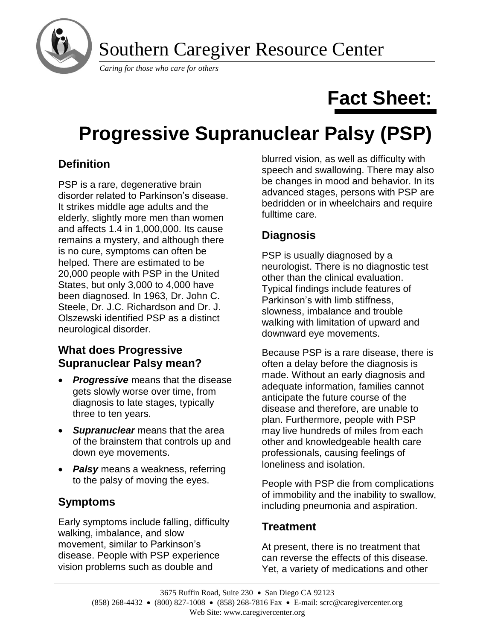

Southern Caregiver Resource Center

*Caring for those who care for others*

# **Fact Sheet:**

**Progressive Supranuclear Palsy (PSP)**

# **Definition**

PSP is a rare, degenerative brain disorder related to Parkinson's disease. It strikes middle age adults and the elderly, slightly more men than women and affects 1.4 in 1,000,000. Its cause remains a mystery, and although there is no cure, symptoms can often be helped. There are estimated to be 20,000 people with PSP in the United States, but only 3,000 to 4,000 have been diagnosed. In 1963, Dr. John C. Steele, Dr. J.C. Richardson and Dr. J. Olszewski identified PSP as a distinct neurological disorder.

### **What does Progressive Supranuclear Palsy mean?**

- **Progressive** means that the disease gets slowly worse over time, from diagnosis to late stages, typically three to ten years.
- *Supranuclear* means that the area of the brainstem that controls up and down eye movements.
- *Palsy* means a weakness, referring to the palsy of moving the eyes.

## **Symptoms**

Early symptoms include falling, difficulty walking, imbalance, and slow movement, similar to Parkinson's disease. People with PSP experience vision problems such as double and

blurred vision, as well as difficulty with speech and swallowing. There may also be changes in mood and behavior. In its advanced stages, persons with PSP are bedridden or in wheelchairs and require fulltime care.

## **Diagnosis**

PSP is usually diagnosed by a neurologist. There is no diagnostic test other than the clinical evaluation. Typical findings include features of Parkinson's with limb stiffness, slowness, imbalance and trouble walking with limitation of upward and downward eye movements.

Because PSP is a rare disease, there is often a delay before the diagnosis is made. Without an early diagnosis and adequate information, families cannot anticipate the future course of the disease and therefore, are unable to plan. Furthermore, people with PSP may live hundreds of miles from each other and knowledgeable health care professionals, causing feelings of loneliness and isolation.

People with PSP die from complications of immobility and the inability to swallow, including pneumonia and aspiration.

### **Treatment**

At present, there is no treatment that can reverse the effects of this disease. Yet, a variety of medications and other